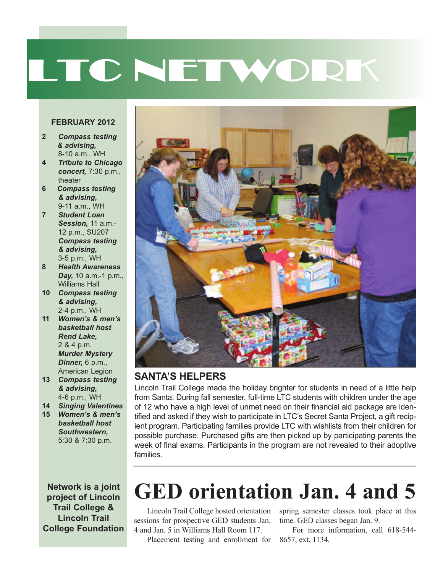# LTC NETWORK

#### **FEBRUARY 2012**

- **2** *Compass testing & advising,* 8-10 a.m., WH
- **4** *Tribute to Chicago concert,* 7:30 p.m., theater
- **6** *Compass testing & advising,* 9-11 a.m., WH
- **7** *Student Loan Session,* 11 a.m.- 12 p.m., SU207 *Compass testing & advising,* 3-5 p.m., WH
- **8** *Health Awareness Day,* 10 a.m.-1 p.m., Williams Hall
- **10** *Compass testing & advising,* 2-4 p.m., WH
- **11** *Women's & men's basketball host Rend Lake,* 2 & 4 p.m. *Murder Mystery Dinner,* 6 p.m., American Legion
- **13** *Compass testing & advising,* 4-6 p.m., WH
- **14** *Singing Valentines*
- **15** *Women's & men's basketball host Southwestern,* 5:30 & 7:30 p.m.

**Network is a joint project of Lincoln Trail College & Lincoln Trail College Foundation**



#### **SANTA'S HELpERS**

Lincoln Trail College made the holiday brighter for students in need of a little help from Santa. During fall semester, full-time LTC students with children under the age of 12 who have a high level of unmet need on their financial aid package are identified and asked if they wish to participate in LTC's Secret Santa Project, a gift recipient program. Participating families provide LTC with wishlists from their children for possible purchase. Purchased gifts are then picked up by participating parents the week of final exams. Participants in the program are not revealed to their adoptive families.

### **GED orientation Jan. 4 and 5**

sessions for prospective GED students Jan. 4 and Jan. 5 in Williams Hall Room 117.

Placement testing and enrollment for 8657, ext. 1134.

Lincoln Trail College hosted orientation spring semester classes took place at this time. GED classes began Jan. 9.

For more information, call 618-544-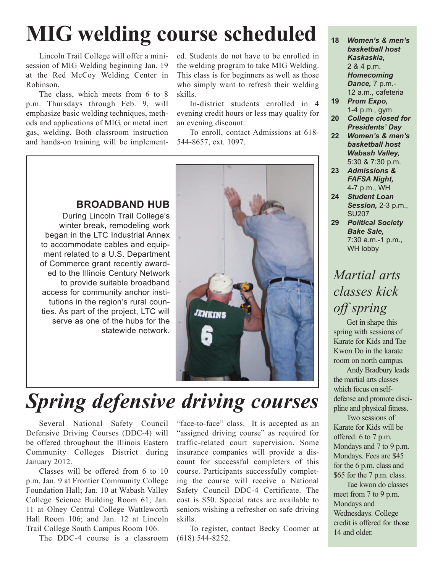### **MIG welding course scheduled**

Lincoln Trail College will offer a minisession of MIG Welding beginning Jan. 19 at the Red McCoy Welding Center in Robinson.

The class, which meets from 6 to 8 p.m. Thursdays through Feb. 9, will emphasize basic welding techniques, methods and applications of MIG, or metal inert gas, welding. Both classroom instruction and hands-on training will be implemented. Students do not have to be enrolled in the welding program to take MIG Welding. This class is for beginners as well as those who simply want to refresh their welding skills.

In-district students enrolled in 4 evening credit hours or less may quality for an evening discount.

To enroll, contact Admissions at 618- 544-8657, ext. 1097.



#### **BROADBAND HUB**

During Lincoln Trail College's winter break, remodeling work began in the LTC Industrial Annex to accommodate cables and equipment related to a U.S. Department of Commerce grant recently awarded to the Illinois Century Network to provide suitable broadband access for community anchor institutions in the region's rural counties. As part of the project, LTC will serve as one of the hubs for the statewide network.

### *Spring defensive driving courses*

Several National Safety Council Defensive Driving Courses (DDC-4) will be offered throughout the Illinois Eastern Community Colleges District during January 2012.

Classes will be offered from 6 to 10 p.m. Jan. 9 at Frontier Community College Foundation Hall; Jan. 10 at Wabash Valley College Science Building Room 61; Jan. 11 at Olney Central College Wattleworth Hall Room 106; and Jan. 12 at Lincoln Trail College South Campus Room 106.

The DDC-4 course is a classroom

"face-to-face" class. It is accepted as an "assigned driving course" as required for traffic-related court supervision. Some insurance companies will provide a discount for successful completers of this course. Participants successfully completing the course will receive a National Safety Council DDC-4 Certificate. The cost is \$50. Special rates are available to seniors wishing a refresher on safe driving skills.

To register, contact Becky Coomer at (618) 544-8252.

- **18** *Women's & men's basketball host Kaskaskia,* 2 & 4 p.m. *Homecoming Dance,* 7 p.m.- 12 a.m., cafeteria
- **19** *Prom Expo,* 1-4 p.m., gym
- **20** *College closed for Presidents' Day*
- **22** *Women's & men's basketball host Wabash Valley,* 5:30 & 7:30 p.m.
- **23** *Admissions & FAFSA Night,* 4-7 p.m., WH
- **24** *Student Loan Session,* 2-3 p.m., SU207
- **29** *Political Society Bake Sale,* 7:30 a.m.-1 p.m., WH lobby

### *Martial arts classes kick off spring*

Get in shape this spring with sessions of Karate for Kids and Tae Kwon Do in the karate room on north campus.

Andy Bradbury leads the martial arts classes which focus on selfdefense and promote discipline and physical fitness.

Two sessions of Karate for Kids will be offered: 6 to 7 p.m. Mondays and 7 to 9 p.m. Mondays. Fees are \$45 for the 6 p.m. class and \$65 for the 7 p.m. class.

Tae kwon do classes meet from 7 to 9 p.m. Mondays and Wednesdays. College credit is offered for those 14 and older.